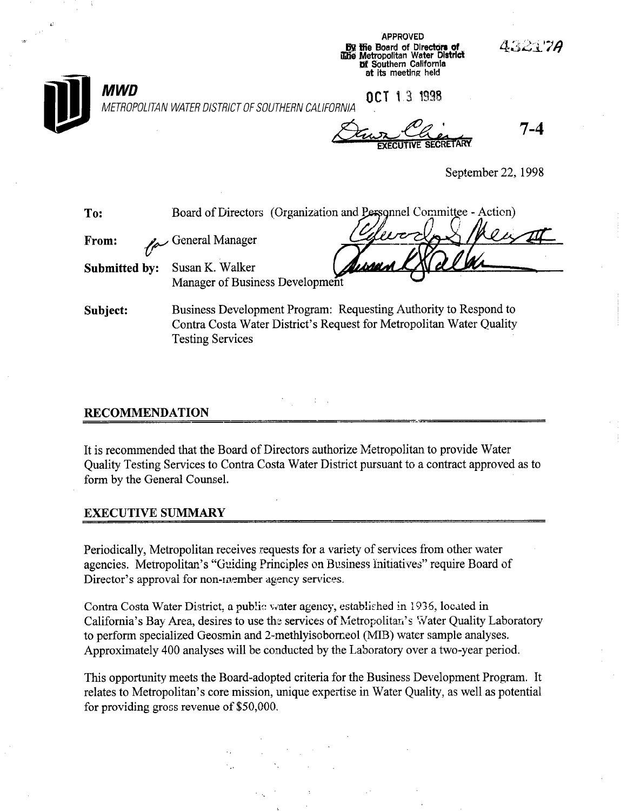|               | <b>AFFRUTEU</b><br>43217A<br><b>By the Board of Directors of</b><br>ilitie Metropolitan Water District<br>of Southern California<br>at its meeting held |
|---------------|---------------------------------------------------------------------------------------------------------------------------------------------------------|
| MWD           | OCT 13 1998<br>METROPOLITAN WATER DISTRICT OF SOUTHERN CALIFORNIA                                                                                       |
|               | 7-4<br>tive secretary                                                                                                                                   |
|               | September 22, 1998                                                                                                                                      |
| To:           | Board of Directors (Organization and Personnel Committee - Action)                                                                                      |
| From:         | $^\prime$ PLTU<br>General Manager                                                                                                                       |
| Submitted by: | Susan K. Walker<br>Manager of Business Development                                                                                                      |
| Subject:      | Business Development Program: Requesting Authority to Respond to<br>Contra Costa Water District's Request for Metropolitan Water Quality                |

APPROVED

### RECOMMENDATION

Testing Services

..i

It is recommended that the Board of Directors authorize Metropolitan to provide Water Quality Testing Services to Contra Costa Water District pursuant to a contract approved as to form by the General Counsel.

#### EXECUTIVE SUMMARY

Periodically, Metropolitan receives requests for a variety of services from other water agencies. Metropolitan's "Guiding Principles on Business Initiatives" require Board of Director's approval for non-member agency services.

Contra Costa Water District, a public water agency, established in 1936, located in California's Bay Area, desires to use the services of Metropolitan's Water Quality Laboratory to perform specialized Geosmin and 2- methlyisoborneol (MIB) water sample analyses. Approximately 400 analyses will be conducted by the Laboratory over a two-year period.

This opportunity meets the Board-adopted criteria for the Business Development Program. It relates to Metropolitan's core mission, unique expertise in Water Quality, as well as potential for providing gross revenue of \$50,000.

 $\mathcal{L}^{\text{max}}$